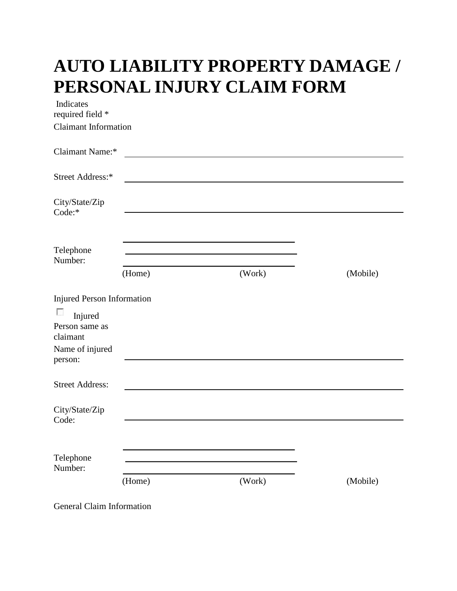## **AUTO LIABILITY PROPERTY DAMAGE / PERSONAL INJURY CLAIM FORM**

| Indicates<br>required field *                                            |                                                                                                                        |                                                           |          |
|--------------------------------------------------------------------------|------------------------------------------------------------------------------------------------------------------------|-----------------------------------------------------------|----------|
| Claimant Information                                                     |                                                                                                                        |                                                           |          |
| Claimant Name:*                                                          | <u> 1989 - Johann Johann Stone, meil in der Stone aus der Stone aus der Stone aus der Stone aus der Stone aus der </u> |                                                           |          |
| Street Address:*                                                         |                                                                                                                        | <u> 1989 - Johann Barbara, martin amerikan personal (</u> |          |
| City/State/Zip<br>Code:*                                                 |                                                                                                                        |                                                           |          |
| Telephone<br>Number:                                                     | (Home)                                                                                                                 | (Work)                                                    | (Mobile) |
| <b>Injured Person Information</b>                                        |                                                                                                                        |                                                           |          |
| □<br>Injured<br>Person same as<br>claimant<br>Name of injured<br>person: |                                                                                                                        |                                                           |          |
| <b>Street Address:</b>                                                   |                                                                                                                        |                                                           |          |
| City/State/Zip<br>Code:                                                  |                                                                                                                        |                                                           |          |
| Telephone<br>Number:                                                     |                                                                                                                        |                                                           |          |
|                                                                          | (Home)                                                                                                                 | (Work)                                                    | (Mobile) |

General Claim Information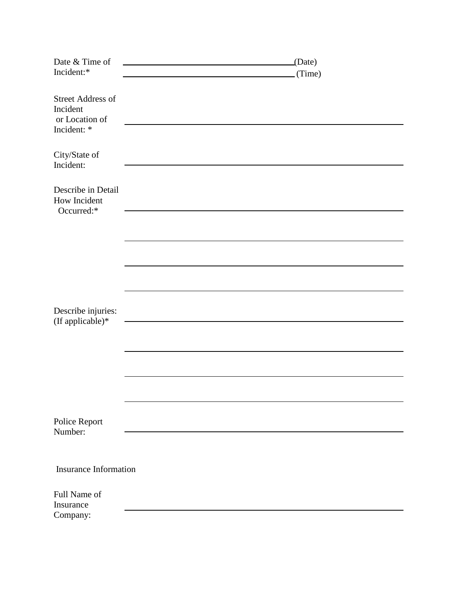| Date & Time of                                                        | (Date) |  |
|-----------------------------------------------------------------------|--------|--|
| Incident:*                                                            | (Time) |  |
|                                                                       |        |  |
| <b>Street Address of</b><br>Incident<br>or Location of<br>Incident: * |        |  |
| City/State of<br>Incident:                                            |        |  |
| Describe in Detail<br>How Incident<br>Occurred:*                      |        |  |
|                                                                       |        |  |
|                                                                       |        |  |
|                                                                       |        |  |
|                                                                       |        |  |
|                                                                       |        |  |
| Describe injuries:                                                    |        |  |
| (If applicable) $*$                                                   |        |  |
|                                                                       |        |  |
|                                                                       |        |  |
|                                                                       |        |  |
|                                                                       |        |  |
|                                                                       |        |  |
|                                                                       |        |  |
| Police Report<br>Number:                                              |        |  |
|                                                                       |        |  |
|                                                                       |        |  |
| <b>Insurance Information</b>                                          |        |  |
| Full Name of<br>Insurance                                             |        |  |
| Company:                                                              |        |  |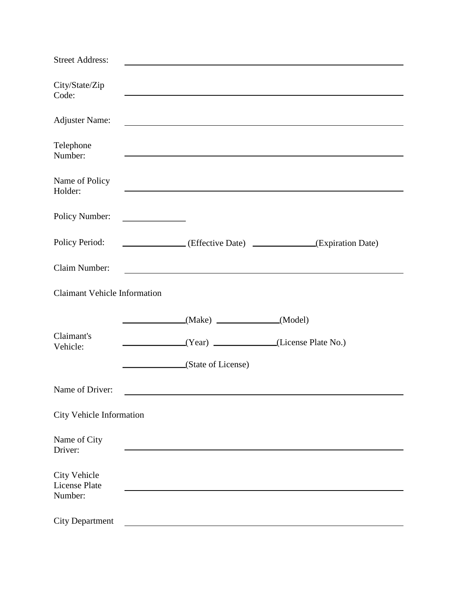| <b>Street Address:</b>                                 |                                                                                                                                                                                                                               |
|--------------------------------------------------------|-------------------------------------------------------------------------------------------------------------------------------------------------------------------------------------------------------------------------------|
| City/State/Zip<br>Code:                                | and the control of the control of the control of the control of the control of the control of the control of the                                                                                                              |
| <b>Adjuster Name:</b>                                  | <u> 1980 - Johann Stoff, deutscher Stoff, der Stoff, der Stoff, der Stoff, der Stoff, der Stoff, der Stoff, der S</u>                                                                                                         |
| Telephone<br>Number:                                   | and the control of the control of the control of the control of the control of the control of the control of the                                                                                                              |
| Name of Policy<br>Holder:                              | <u> 1989 - Johann Stoff, amerikansk politiker (d. 1989)</u>                                                                                                                                                                   |
| Policy Number:                                         | <u> 1990 - Johann Barbara, martx</u>                                                                                                                                                                                          |
| Policy Period:                                         | (Expiration Date) (Effective Date)                                                                                                                                                                                            |
| Claim Number:                                          | the control of the control of the control of the control of the control of the control of the control of the control of the control of the control of the control of the control of the control of the control of the control |
| <b>Claimant Vehicle Information</b>                    |                                                                                                                                                                                                                               |
| Claimant's<br>Vehicle:                                 | (Model)<br>$\mathcal{L}^{\mathcal{L}}(\mathcal{L}^{\mathcal{L}})$ and $\mathcal{L}^{\mathcal{L}}(\mathcal{L}^{\mathcal{L}})$ . Then the contribution of<br>(Year) (License Plate No.)<br>(State of License)                   |
| Name of Driver:                                        |                                                                                                                                                                                                                               |
| <b>City Vehicle Information</b>                        |                                                                                                                                                                                                                               |
| Name of City<br>Driver:                                |                                                                                                                                                                                                                               |
| <b>City Vehicle</b><br><b>License Plate</b><br>Number: |                                                                                                                                                                                                                               |
| <b>City Department</b>                                 |                                                                                                                                                                                                                               |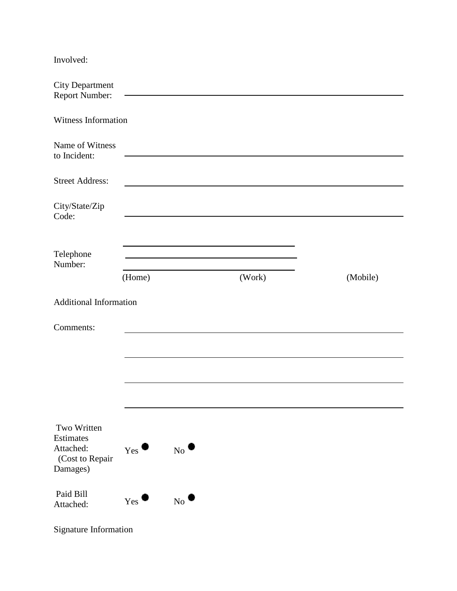| Involved:                                |        |        |          |
|------------------------------------------|--------|--------|----------|
| <b>City Department</b><br>Report Number: |        |        |          |
| Witness Information                      |        |        |          |
| Name of Witness<br>to Incident:          |        |        |          |
| <b>Street Address:</b>                   |        |        |          |
|                                          |        |        |          |
| City/State/Zip<br>Code:                  |        |        |          |
|                                          |        |        |          |
|                                          |        |        |          |
| Telephone                                |        |        |          |
| Number:                                  |        |        |          |
|                                          | (Home) | (Work) | (Mobile) |
| <b>Additional Information</b>            |        |        |          |
|                                          |        |        |          |
| Comments:                                |        |        |          |
|                                          |        |        |          |
|                                          |        |        |          |
|                                          |        |        |          |

| Two Written<br>Estimates<br>Attached:<br>(Cost to Repair<br>Damages) | ο<br>Yes | N <sub>0</sub> |
|----------------------------------------------------------------------|----------|----------------|
| Paid Bill<br>Attached:                                               | υ<br>Yes | $N_{\Omega}$   |

Signature Information